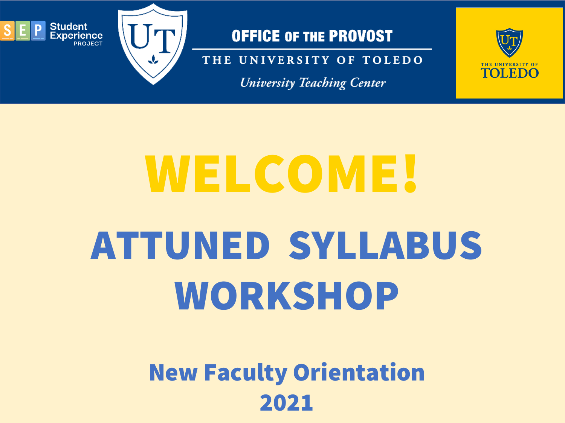

THE UNIVERSITY OF TOLEDO

**University Teaching Center** 



# ATTUNED SYLLABUS WORKSHOP WELCOME!

## New Faculty Orientation 2021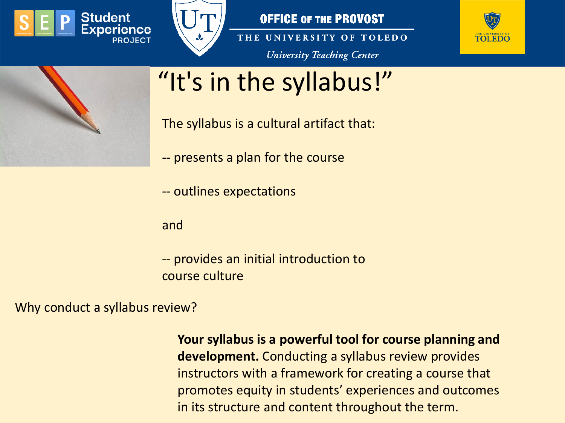



THE UNIVERSITY OF TOLEDO **University Teaching Center** 





# "It's in the syllabus!"

The syllabus is a cultural artifact that:

- -- presents a plan for the course
- -- outlines expectations

and

-- provides an initial introduction to course culture

Why conduct a syllabus review?

**Your syllabus is a powerful tool for course planning and development.** Conducting a syllabus review provides instructors with a framework for creating a course that promotes equity in students' experiences and outcomes in its structure and content throughout the term.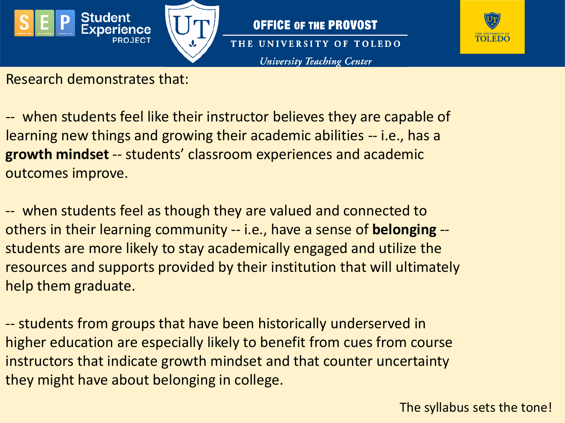





Research demonstrates that:

-- when students feel like their instructor believes they are capable of learning new things and growing their academic abilities -- i.e., has a **growth mindset** -- students' classroom experiences and academic outcomes improve.

-- when students feel as though they are valued and connected to others in their learning community -- i.e., have a sense of **belonging** - students are more likely to stay academically engaged and utilize the resources and supports provided by their institution that will ultimately help them graduate.

-- students from groups that have been historically underserved in higher education are especially likely to benefit from cues from course instructors that indicate growth mindset and that counter uncertainty they might have about belonging in college.

The syllabus sets the tone!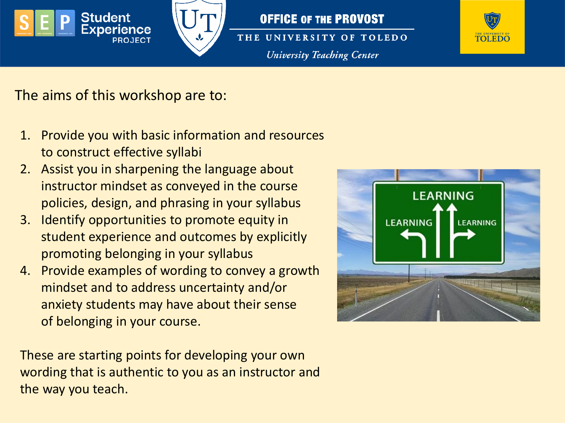

THE UNIVERSITY OF TOLEDO **University Teaching Center** 



The aims of this workshop are to:

- 1. Provide you with basic information and resources to construct effective syllabi
- 2. Assist you in sharpening the language about instructor mindset as conveyed in the course policies, design, and phrasing in your syllabus
- 3. Identify opportunities to promote equity in student experience and outcomes by explicitly promoting belonging in your syllabus
- 4. Provide examples of wording to convey a growth mindset and to address uncertainty and/or anxiety students may have about their sense of belonging in your course.

These are starting points for developing your own wording that is authentic to you as an instructor and the way you teach.

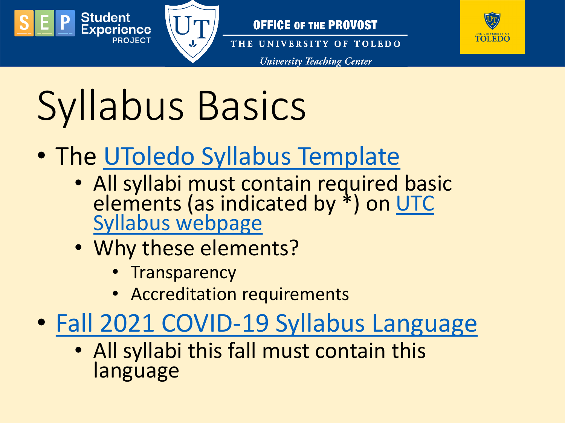



THE UNIVERSITY OF TOLEDO

**University Teaching Center** 



# Syllabus Basics

- The [UToledo Syllabus Template](https://www.utoledo.edu/offices/provost/utc/docs/Syllabus-Template-update-Fall-2021-final.docx)
	- All syllabi must contain required basic elements (as indicated by \*) on UTC Syllabus webpage
	- Why these elements?
		- Transparency
		- Accreditation requirements
- [Fall 2021 COVID-19 Syllabus Language](https://www.utoledo.edu/offices/provost/utc/docs/Fall-21-COVID-Syllabus-language-8-11-21.docx)
	- All syllabi this fall must contain this language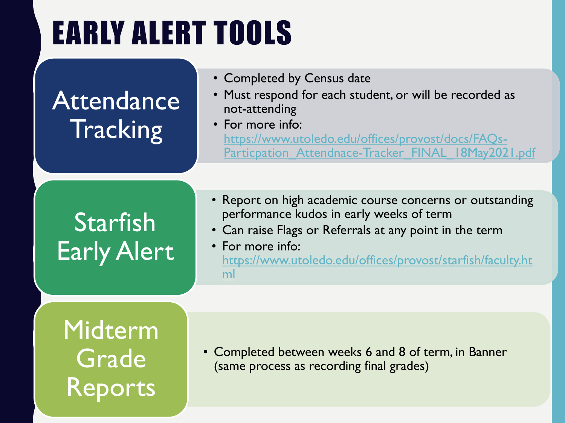# EARLY ALERT TOOLS

# Attendance **Tracking**

- Completed by Census date
- Must respond for each student, or will be recorded as not-attending
- For more info: https://www.utoledo.edu/offices/provost/docs/FAQs-[Particpation\\_Attendnace-Tracker\\_FINAL\\_18May2021.pdf](https://www.utoledo.edu/offices/provost/docs/FAQs-Particpation_Attendnace-Tracker_FINAL_18May2021.pdf)

# **Starfish** Early Alert

- Report on high academic course concerns or outstanding performance kudos in early weeks of term
- Can raise Flags or Referrals at any point in the term
- For more info: [https://www.utoledo.edu/offices/provost/starfish/faculty.ht](https://www.utoledo.edu/offices/provost/starfish/faculty.html) ml

Midterm **Grade** Reports

• Completed between weeks 6 and 8 of term, in Banner (same process as recording final grades)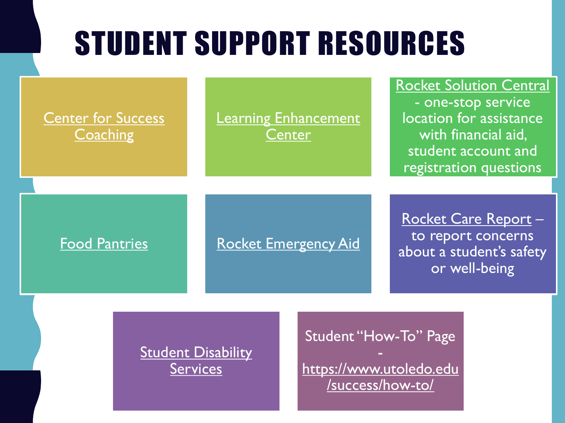# STUDENT SUPPORT RESOURCES

**Center for Success Coaching** 

**[Learning Enhancement](https://www.utoledo.edu/success/lec/) Center** 

[Rocket Solution Central](https://www.utoledo.edu/rsc/) - one-stop service location for assistance

with financial aid, student account and registration questions

[Food Pantries](https://www.utoledo.edu/studentaffairs/food-pantry/) [Rocket Emergency Aid](https://www.utoledo.edu/financialaid/rocket-aid/)

[Rocket Care Report](https://cm.maxient.com/reportingform.php?UnivofToledo&layout_id=9) – to report concerns about a student's safety or well-being

**[Student Disability](https://www.utoledo.edu/offices/student-disability-services/)** Services

Student "How-To" Page

[https://www.utoledo.edu](https://www.utoledo.edu/success/how-to/) /success/how-to/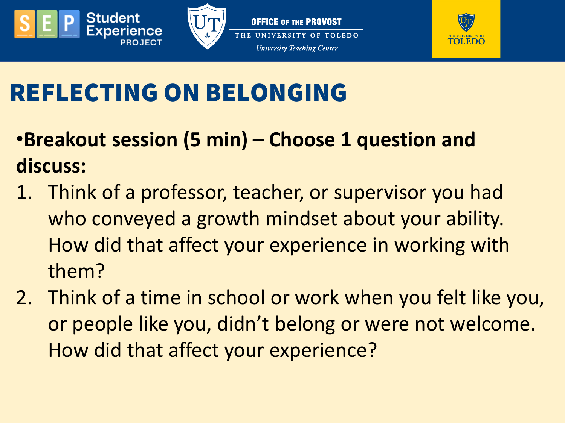





# REFLECTING ON BELONGING

- •**Breakout session (5 min) – Choose 1 question and discuss:**
- 1. Think of a professor, teacher, or supervisor you had who conveyed a growth mindset about your ability. How did that affect your experience in working with them?
- 2. Think of a time in school or work when you felt like you, or people like you, didn't belong or were not welcome. How did that affect your experience?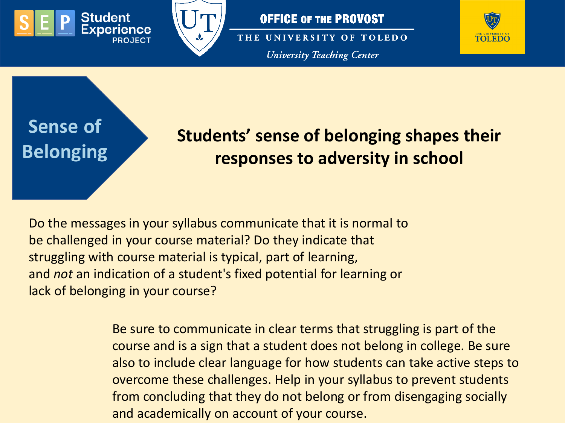



THE UNIVERSITY OF TOLEDO **University Teaching Center** 



## Sense of **Belonging**

### **Students' sense of belonging shapes their responses to adversity in school**

Do the messages in your syllabus communicate that it is normal to be challenged in your course material? Do they indicate that struggling with course material is typical, part of learning, and *not* an indication of a student's fixed potential for learning or lack of belonging in your course?

> Be sure to communicate in clear terms that struggling is part of the course and is a sign that a student does not belong in college. Be sure also to include clear language for how students can take active steps to overcome these challenges. Help in your syllabus to prevent students from concluding that they do not belong or from disengaging socially and academically on account of your course.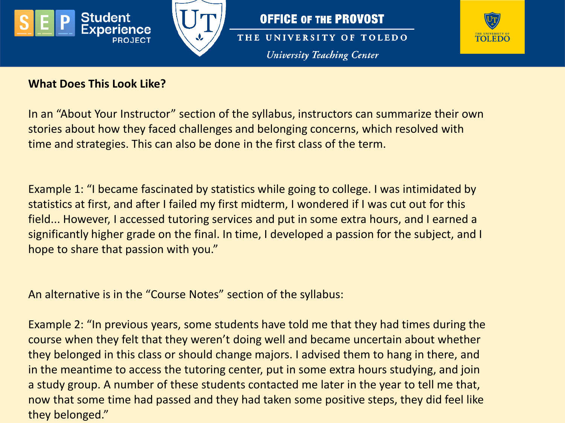



THE UNIVERSITY OF TOLEDO **University Teaching Center** 



#### **What Does This Look Like?**

In an "About Your Instructor" section of the syllabus, instructors can summarize their own stories about how they faced challenges and belonging concerns, which resolved with time and strategies. This can also be done in the first class of the term.

Example 1: "I became fascinated by statistics while going to college. I was intimidated by statistics at first, and after I failed my first midterm, I wondered if I was cut out for this field... However, I accessed tutoring services and put in some extra hours, and I earned a significantly higher grade on the final. In time, I developed a passion for the subject, and I hope to share that passion with you."

An alternative is in the "Course Notes" section of the syllabus:

Example 2: "In previous years, some students have told me that they had times during the course when they felt that they weren't doing well and became uncertain about whether they belonged in this class or should change majors. I advised them to hang in there, and in the meantime to access the tutoring center, put in some extra hours studying, and join a study group. A number of these students contacted me later in the year to tell me that, now that some time had passed and they had taken some positive steps, they did feel like they belonged."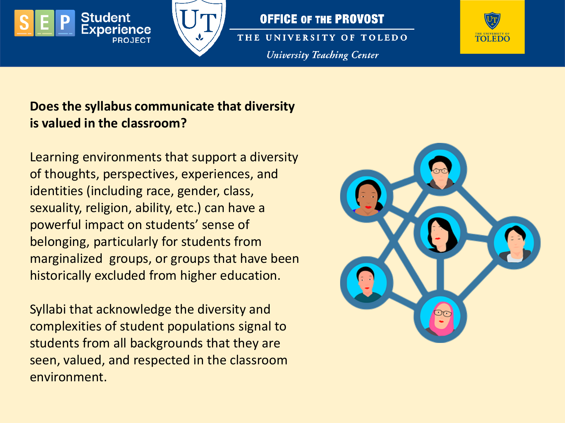

THE UNIVERSITY OF TOLEDO **University Teaching Center** 



#### **Does the syllabus communicate that diversity is valued in the classroom?**

Learning environments that support a diversity of thoughts, perspectives, experiences, and identities (including race, gender, class, sexuality, religion, ability, etc.) can have a powerful impact on students' sense of belonging, particularly for students from marginalized groups, or groups that have been historically excluded from higher education.

Syllabi that acknowledge the diversity and complexities of student populations signal to students from all backgrounds that they are seen, valued, and respected in the classroom environment.

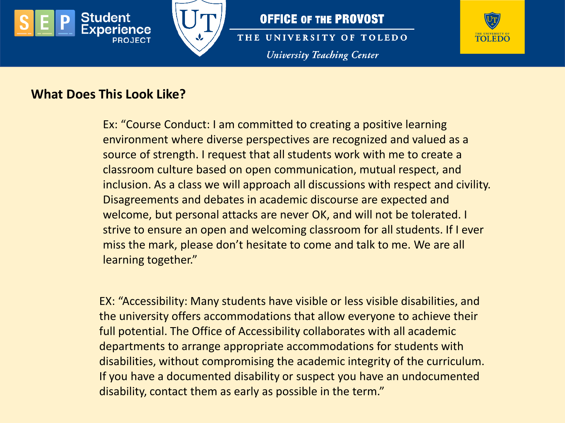



THE UNIVERSITY OF TOLEDO **University Teaching Center** 



#### **What Does This Look Like?**

Ex: "Course Conduct: I am committed to creating a positive learning environment where diverse perspectives are recognized and valued as a source of strength. I request that all students work with me to create a classroom culture based on open communication, mutual respect, and inclusion. As a class we will approach all discussions with respect and civility. Disagreements and debates in academic discourse are expected and welcome, but personal attacks are never OK, and will not be tolerated. I strive to ensure an open and welcoming classroom for all students. If I ever miss the mark, please don't hesitate to come and talk to me. We are all learning together."

EX: "Accessibility: Many students have visible or less visible disabilities, and the university offers accommodations that allow everyone to achieve their full potential. The Office of Accessibility collaborates with all academic departments to arrange appropriate accommodations for students with disabilities, without compromising the academic integrity of the curriculum. If you have a documented disability or suspect you have an undocumented disability, contact them as early as possible in the term."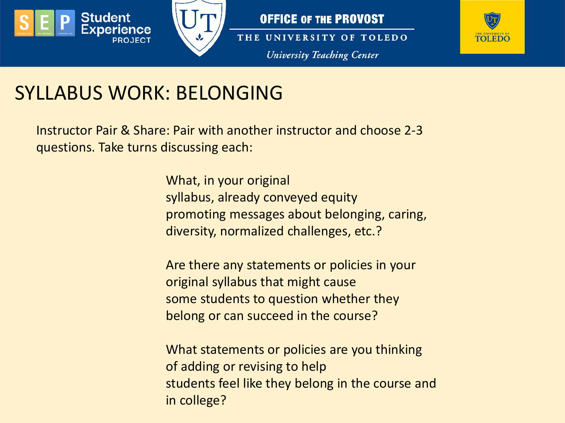





THE UNIVERSITY OF TOLEDO **University Teaching Center** 



### SYLLABUS WORK: BELONGING

Instructor Pair & Share: Pair with another instructor and choose 2-3 questions. Take turns discussing each:

> What, in your original syllabus, already conveyed equity promoting messages about belonging, caring, diversity, normalized challenges, etc.?

Are there any statements or policies in your original syllabus that might cause some students to question whether they belong or can succeed in the course?

What statements or policies are you thinking of adding or revising to help students feel like they belong in the course and in college?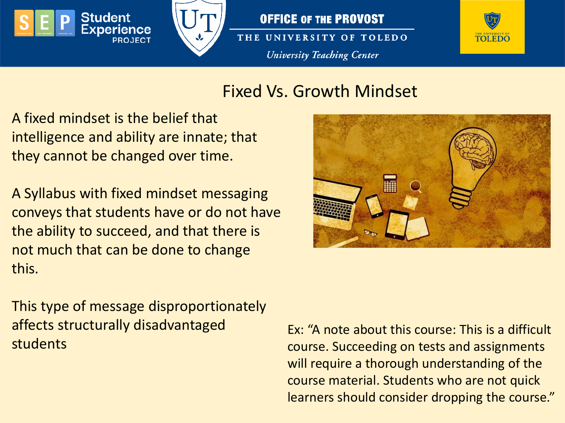



THE UNIVERSITY OF TOLEDO **University Teaching Center** 



#### Fixed Vs. Growth Mindset

A fixed mindset is the belief that intelligence and ability are innate; that they cannot be changed over time.

A Syllabus with fixed mindset messaging conveys that students have or do not have the ability to succeed, and that there is not much that can be done to change this.

This type of message disproportionately affects structurally disadvantaged students



Ex: "A note about this course: This is a difficult course. Succeeding on tests and assignments will require a thorough understanding of the course material. Students who are not quick learners should consider dropping the course."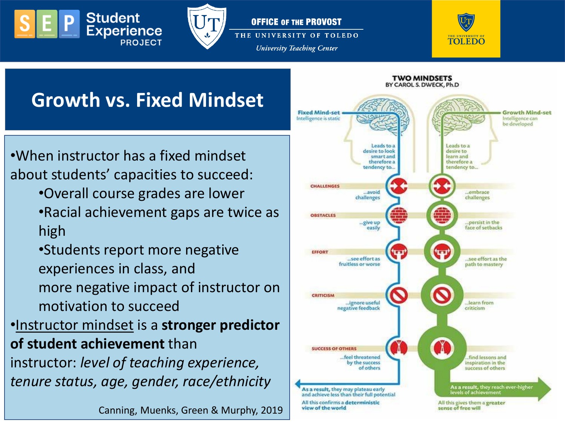



**University Teaching Center** 



### **Growth vs. Fixed Mindset**

•When instructor has a fixed mindset about students' capacities to succeed:

•Overall course grades are lower

•Racial achievement gaps are twice as high

•Students report more negative experiences in class, and more negative impact of instructor on motivation to succeed

•Instructor mindset is a **stronger predictor of student achievement** than instructor: *level of teaching experience,* 

*tenure status, age, gender, race/ethnicity*

Canning, Muenks, Green & Murphy, 2019

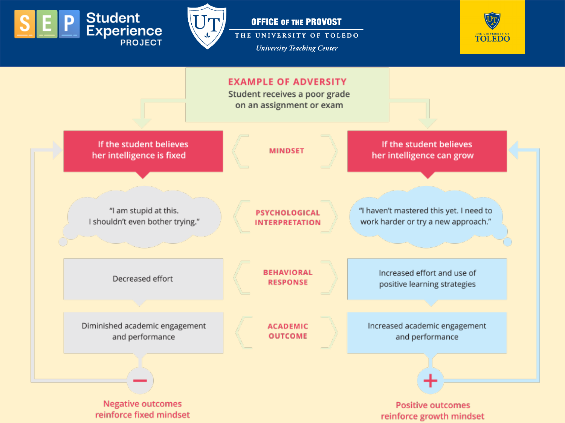



THE UNIVERSITY OF TOLEDO **University Teaching Center** 



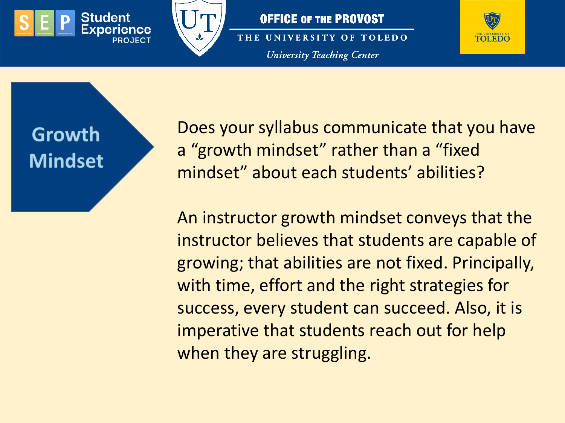



THE UNIVERSITY OF TOLEDO **University Teaching Center** 



Growth **Mindset** 

Does your syllabus communicate that you have a "growth mindset" rather than a "fixed mindset" about each students' abilities?

An instructor growth mindset conveys that the instructor believes that students are capable of growing; that abilities are not fixed. Principally, with time, effort and the right strategies for success, every student can succeed. Also, it is imperative that students reach out for help when they are struggling.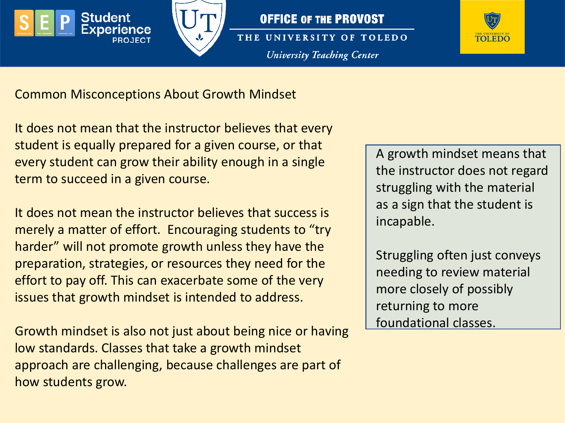



THE UNIVERSITY OF TOLEDO **University Teaching Center** 



Common Misconceptions About Growth Mindset

It does not mean that the instructor believes that every student is equally prepared for a given course, or that every student can grow their ability enough in a single term to succeed in a given course.

It does not mean the instructor believes that success is merely a matter of effort. Encouraging students to "try harder" will not promote growth unless they have the preparation, strategies, or resources they need for the effort to pay off. This can exacerbate some of the very issues that growth mindset is intended to address.

Growth mindset is also not just about being nice or having low standards. Classes that take a growth mindset approach are challenging, because challenges are part of how students grow.

A growth mindset means that the instructor does not regard struggling with the material as a sign that the student is incapable.

Struggling often just conveys needing to review material more closely of possibly returning to more foundational classes.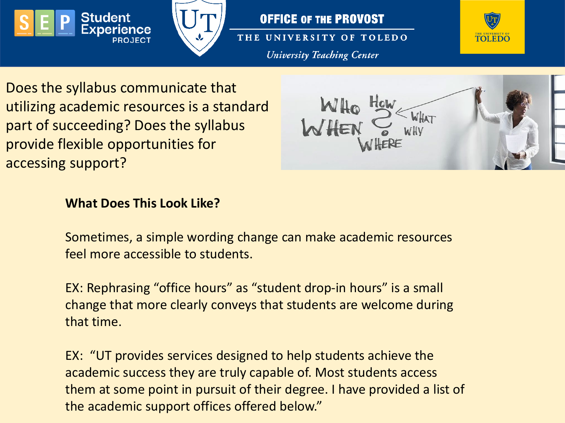



THE UNIVERSITY OF TOLEDO **University Teaching Center** 



Does the syllabus communicate that utilizing academic resources is a standard part of succeeding? Does the syllabus provide flexible opportunities for accessing support?



#### **What Does This Look Like?**

Sometimes, a simple wording change can make academic resources feel more accessible to students.

EX: Rephrasing "office hours" as "student drop-in hours" is a small change that more clearly conveys that students are welcome during that time.

EX: "UT provides services designed to help students achieve the academic success they are truly capable of. Most students access them at some point in pursuit of their degree. I have provided a list of the academic support offices offered below."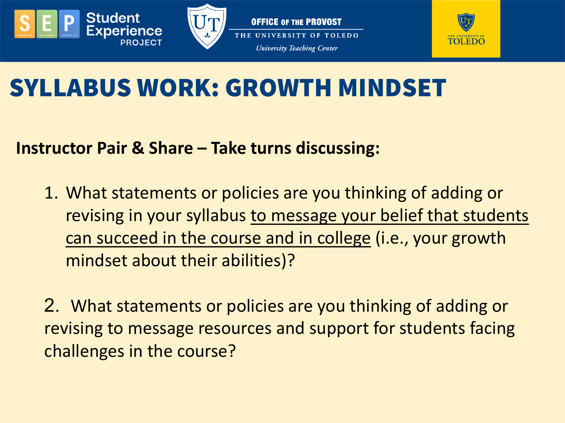



**OFFICE OF THE PROVOST** THE UNIVERSITY OF TOLEDO **University Teaching Center** 



# SYLLABUS WORK: GROWTH MINDSET

#### **Instructor Pair & Share – Take turns discussing:**

1. What statements or policies are you thinking of adding or revising in your syllabus to message your belief that students can succeed in the course and in college (i.e., your growth mindset about their abilities)?

2. What statements or policies are you thinking of adding or revising to message resources and support for students facing challenges in the course?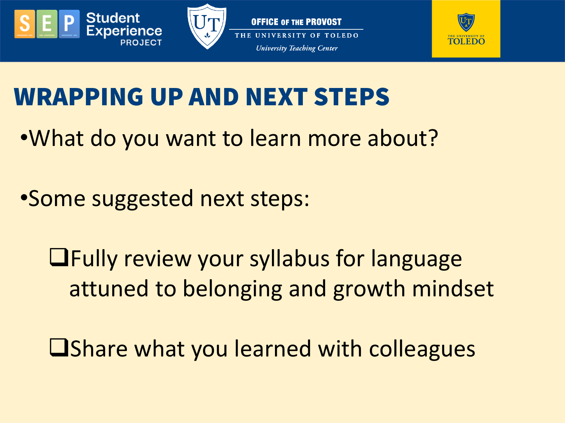



OFFICE OF THE PROVOST THE UNIVERSITY OF TOLEDO **University Teaching Center** 



# WRAPPING UP AND NEXT STEPS

- •What do you want to learn more about?
- •Some suggested next steps:
	- Fully review your syllabus for language attuned to belonging and growth mindset
	- **U**Share what you learned with colleagues